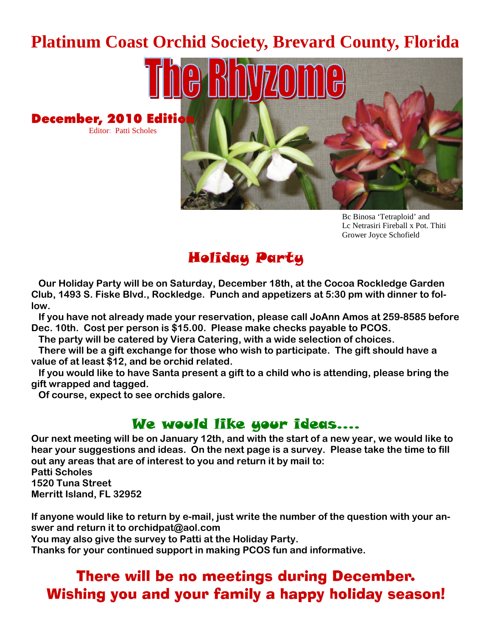## **Platinum Coast Orchid Society, Brevard County, Florida**



Bc Binosa 'Tetraploid' and Lc Netrasiri Fireball x Pot. Thiti Grower Joyce Schofield

## Holiday Party

**Our Holiday Party will be on Saturday, December 18th, at the Cocoa Rockledge Garden Club, 1493 S. Fiske Blvd., Rockledge. Punch and appetizers at 5:30 pm with dinner to follow.**

**If you have not already made your reservation, please call JoAnn Amos at 259-8585 before Dec. 10th. Cost per person is \$15.00. Please make checks payable to PCOS.**

**The party will be catered by Viera Catering, with a wide selection of choices.**

**There will be a gift exchange for those who wish to participate. The gift should have a value of at least \$12, and be orchid related.**

**If you would like to have Santa present a gift to a child who is attending, please bring the gift wrapped and tagged.**

**Of course, expect to see orchids galore.**

Editor: Patti Scholes

### We would like your ideas….

**Our next meeting will be on January 12th, and with the start of a new year, we would like to hear your suggestions and ideas. On the next page is a survey. Please take the time to fill out any areas that are of interest to you and return it by mail to:**

**Patti Scholes 1520 Tuna Street Merritt Island, FL 32952**

**If anyone would like to return by e-mail, just write the number of the question with your answer and return it to orchidpat@aol.com**

**You may also give the survey to Patti at the Holiday Party.**

**Thanks for your continued support in making PCOS fun and informative.**

## There will be no meetings during December. Wishing you and your family a happy holiday season!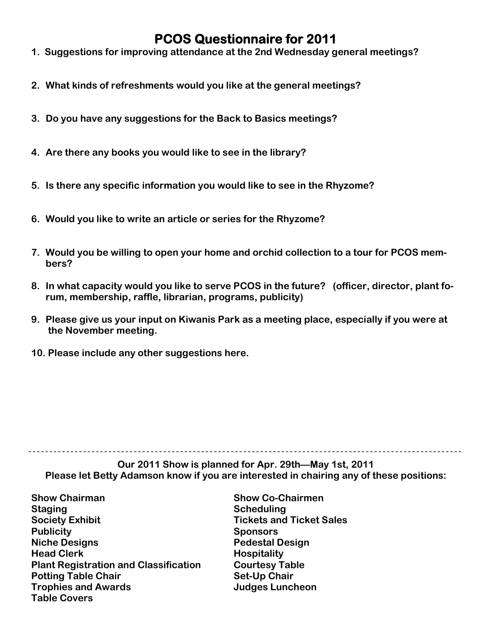### **PCOS Questionnaire for 2011**

- **1. Suggestions for improving attendance at the 2nd Wednesday general meetings?**
- **2. What kinds of refreshments would you like at the general meetings?**
- **3. Do you have any suggestions for the Back to Basics meetings?**
- **4. Are there any books you would like to see in the library?**
- **5. Is there any specific information you would like to see in the Rhyzome?**
- **6. Would you like to write an article or series for the Rhyzome?**
- **7. Would you be willing to open your home and orchid collection to a tour for PCOS members?**
- **8. In what capacity would you like to serve PCOS in the future? (officer, director, plant forum, membership, raffle, librarian, programs, publicity)**
- **9. Please give us your input on Kiwanis Park as a meeting place, especially if you were at the November meeting.**
- **10. Please include any other suggestions here.**

**Our 2011 Show is planned for Apr. 29th—May 1st, 2011 Please let Betty Adamson know if you are interested in chairing any of these positions:**

- **Show Chairman Show Co-Chairmen Staging Scheduling Society Exhibit Tickets and Ticket Sales Publicity Sponsors Niche Designs Pedestal Design Head Clerk Hospitality Plant Registration and Classification Courtesy Table Potting Table Chair Set-Up Chair Trophies and Awards Judges Luncheon Table Covers**
-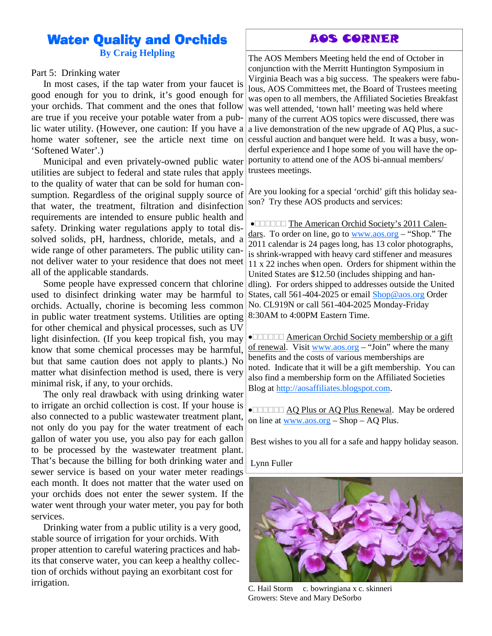### Water Quality and Orchids

**By Craig Helpling**

#### Part 5: Drinking water

In most cases, if the tap water from your faucet is good enough for you to drink, it's good enough for your orchids. That comment and the ones that follow are true if you receive your potable water from a public water utility. (However, one caution: If you have a home water softener, see the article next time on 'Softened Water'.)

Municipal and even privately-owned public water utilities are subject to federal and state rules that apply to the quality of water that can be sold for human consumption. Regardless of the original supply source of that water, the treatment, filtration and disinfection requirements are intended to ensure public health and safety. Drinking water regulations apply to total dissolved solids, pH, hardness, chloride, metals, and a wide range of other parameters. The public utility cannot deliver water to your residence that does not meet all of the applicable standards.

Some people have expressed concern that chlorine used to disinfect drinking water may be harmful to orchids. Actually, chorine is becoming less common in public water treatment systems. Utilities are opting for other chemical and physical processes, such as UV light disinfection. (If you keep tropical fish, you may know that some chemical processes may be harmful, but that same caution does not apply to plants.) No matter what disinfection method is used, there is very minimal risk, if any, to your orchids.

The only real drawback with using drinking water to irrigate an orchid collection is cost. If your house is also connected to a public wastewater treatment plant, not only do you pay for the water treatment of each gallon of water you use, you also pay for each gallon to be processed by the wastewater treatment plant. That's because the billing for both drinking water and sewer service is based on your water meter readings each month. It does not matter that the water used on your orchids does not enter the sewer system. If the water went through your water meter, you pay for both services.

Drinking water from a public utility is a very good, stable source of irrigation for your orchids. With proper attention to careful watering practices and habits that conserve water, you can keep a healthy collection of orchids without paying an exorbitant cost for irrigation.

#### AOS CORNER

The AOS Members Meeting held the end of October in conjunction with the Merritt Huntington Symposium in Virginia Beach was a big success. The speakers were fabulous, AOS Committees met, the Board of Trustees meeting was open to all members, the Affiliated Societies Breakfast was well attended, 'town hall' meeting was held where many of the current AOS topics were discussed, there was a live demonstration of the new upgrade of AQ Plus, a successful auction and banquet were held. It was a busy, wonderful experience and I hope some of you will have the opportunity to attend one of the AOS bi-annual members/ trustees meetings.

Are you looking for a special 'orchid' gift this holiday season? Try these AOS products and services:

• **THE American Orchid Society's 2011 Calen**dars. To order on line, go to www.aos.org – "Shop." The 2011 calendar is 24 pages long, has 13 color photographs, is shrink-wrapped with heavy card stiffener and measures 11 x 22 inches when open. Orders for shipment within the United States are \$12.50 (includes shipping and handling). For orders shipped to addresses outside the United States, call 561-404-2025 or email Shop@aos.org Order No. CL919N or call 561-404-2025 Monday-Friday 8:30AM to 4:00PM Eastern Time.

• **American Orchid Society membership or a gift** of renewal. Visit www.aos.org – "Join" where the many benefits and the costs of various memberships are noted. Indicate that it will be a gift membership. You can also find a membership form on the Affiliated Societies Blog at http://aosaffiliates.blogspot.com.

• **INCREAGE ADDED AQ Plus Renewal.** May be ordered on line at www.aos.org – Shop – AQ Plus.

Best wishes to you all for a safe and happy holiday season.

Lynn Fuller



C. Hail Storm c. bowringiana x c. skinneri Growers: Steve and Mary DeSorbo